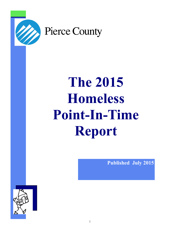

# **The 2015 Homeless Point-In-Time Report**

**Published July 2015**

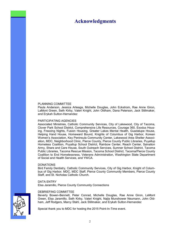## **Acknowledgments**

#### PLANNING COMMITTEE

Paula Anderson, Jessica Arteaga, Michelle Douglas, John Eckstrom, Rae Anne Giron, LaMont Green, Seth Kirby, Valeri Knight, John Oldham, Dana Peterson, Jack Stillmaker, and Erykah Sutton-Hernandez

#### PARTICIPATING AGENCIES

Associated Ministries, Catholic Community Services, City of Lakewood, City of Tacoma, Clover Park School District, Comprehensive Life Resources, Courage 360, Exodus Housing, Freezing Nights, Fusion Housing, Greater Lakes Mental Health, Guadalupe House, Helping Hand House, Homeward Bound, Knights of Columbus of Gig Harbor, Korean Women's Association, Key Peninsula Community Center, Lakewood Area Shelter Association, MDC, Neighborhood Clinic, Pierce County, Pierce County Public Libraries, Puyallup Homeless Coalition, Puyallup School District, Rainbow Center, Reach Center, Salvation Army, Share and Care House, South Outreach Services, Sumner School District, Tacoma Public Libraries, Tacoma Rescue Mission, Tacoma School District, Tacoma/Pierce County Coalition to End Homelessness, Veterans Administration, Washington State Department of Social and Health Services, and YWCA.

#### DONATIONS

Bird Family Dentistry, Catholic Community Services, City of Gig Harbor, Knight of Columbus of Gig Harbor, MDC, MDC Staff, Pierce County Community Members, Pierce County Staff, and St. Nicholas Catholic Church.

#### DATA ENTRY

Elsa Jaramillo, Pierce County Community Connections

#### DEBRIEFING COMMITTEE

Beverly Bowen-Bennett, Peter Conrad, Michelle Douglas, Rae Anne Giron, LaMont Green, Elsa Jaramillo, Seth Kirby, Valeri Knight, Najla Munshower Neumann, John Oldham, Jeff Rodgers, Marcy Stahl, Jack Stillmaker, and Erykah Sutton-Hernandez

Special thank you to MDC for hosting the 2015 Point-In-Time event.

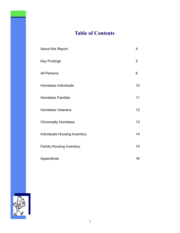# **Table of Contents**

| About this Report               | 4               |
|---------------------------------|-----------------|
| <b>Key Findings</b>             | 5               |
| All Persons                     | 6               |
| <b>Homeless Individuals</b>     | 10              |
| <b>Homeless Families</b>        | 11              |
| <b>Homeless Veterans</b>        | 12 <sub>2</sub> |
| <b>Chronically Homeless</b>     | 13              |
| Individuals Housing Inventory   | 14              |
| <b>Family Housing Inventory</b> | 15              |
| Appendices                      | 16              |

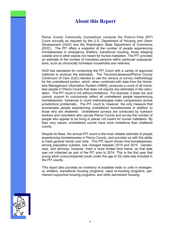# **About this Report**

Pierce County Community Connections conducts the Point-in-Time (PIT) Count annually as required by the U.S. Department of Housing and Urban Development (HUD) and the Washington State Department of Commerce (DOC). The PIT offers a snapshot of the number of people experiencing homelessness in emergency shelters, transitional housing, those sleeping outside and in other places not meant for human habitation. The PIT provides an estimate of the number of homeless persons within particular subpopulations, such as chronically homeless households and veterans.

HUD has standards for conducting the PIT Count with a variety of approved methods to produce the estimates. The Tacoma/Lakewood/Pierce County Continuum of Care (CoC) elected to use the census or survey methodology for the unsheltered portion, which, when combined with data from the Homeless Management Information System (HMIS), produces a count of all homeless people in Pierce County that does not require any estimates in the calculation. The PIT count is not without limitations. For example, it does not, and cannot, purport to conclusively reflect all unsheltered people experiencing homelessness. Variances in count methodologies make comparisons across jurisdictions problematic. The PIT count is, however, the only measure that enumerates people experiencing unsheltered homelessness in addition to those who are sheltered. Unsheltered surveys are conducted by outreach workers and volunteers who canvas Pierce County and survey the number of people who appear to be living in places not meant for human habitation. By their very nature, unsheltered counts have more limitations than sheltered counts.

Despite its flaws, the annual PIT count is the most reliable estimate of people experiencing homelessness in Pierce County, and provides us with the ability to track general trends over time. This PIT report shows how homelessness, among population subsets, has changed between 2010 and 2015. Gender, race, and ethnicity, however, track a more limited time frame, as that data was not collected as part of the PIT prior to 2014. This is the first year that young adult (unaccompanied youth under the age of 25) data was included in the PIT counts.

This report also provides an inventory of available beds or units in emergency shelters, transitional housing programs, rapid re-housing programs, permanent supportive housing programs, and other permanent housing.

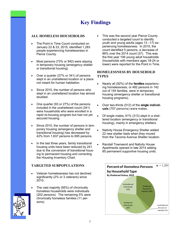# **Key Findings**

#### **ALL HOMELESS HOUSEHOLDS**

- The Point in Time Count conducted on January 22 & 23, 2015, identified 1,283 people experiencing homelessness in Pierce County.
- Most persons (73% or 942) were staying in temporary housing (emergency shelter or transitional housing).
- Over a quarter (27% or 341) of persons slept in an unsheltered location or a place not meant for human habitation.
- Since 2010, the number of persons who slept in an unsheltered location has almost doubled.
- One quarter (93 or 27%) of the persons included in the unsheltered count (341) were households who were enrolled in a rapid re-housing program but had not yet secured housing.
- Since 2010, the number of persons in temporary housing (emergency shelter and transitional housing) has decreased by 42% from 1,637 persons to 695 persons.
- In the last three years, family transitional housing units have been reduced by 241 due to the conversion of transitional housing to permanent housing and correcting the Housing Inventory Chart.

#### **TARGETED SUBPOPULATIONS**

- Veteran homelessness has not declined significantly (2% or 3 veterans) since 2010.
- The vast majority (95%) of chronically homeless households were individuals (202 persons). The remaining 5% were chronically homeless families (11 persons).

• This was the second year Pierce County conducted a targeted count to identify youth and young adults (ages 13 –17) experiencing homelessness. In 2015, the count identified 5 persons, a decrease of 86% over the 2014 count (37). This was the first year 106 young adult households (households with members ages 18-24 or lower) were reported for the Point in Time.

#### **HOMELESSNESS BY HOUSEHOLD TYPES**

- Nearly all (92%) of the **families** experiencing homelessness, or 482 persons in 142 out of 154 families, were in temporary housing (emergency shelter or transitional housing programs).
- Over two-thirds (512) of the **single individuals** (757 persons) were males.
- Of single males, 61% (313) slept in a sheltered location (emergency or transitional housing), mainly in emergency shelters.
- Nativity House Emergency Shelter added 22 new shelter beds when they moved from the Tacoma Avenue Shelter location.
- Randall Townsend and Nativity House Apartments opened in late 2014 adding 85 permanent supportive housing units.



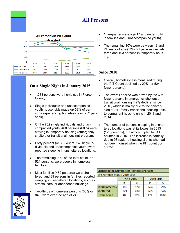

#### **On a Single Night in January 2015**

- 1,283 persons were homeless in Pierce County.
- Single individuals and unaccompanied youth households made up 59% of persons experiencing homelessness (762 persons).
- Of the 762 single individuals and unaccompanied youth, 460 persons (60%) were staying in temporary housing (emergency shelters or transitional housing) programs.
- Forty percent (or 302 out of 762 single individuals and unaccompanied youth) were reported sleeping in unsheltered locations.
- The remaining 40% of the total count, or 521 persons, were people in homeless families.
- Most families (482 persons) were sheltered, and 39 persons in families reported sleeping in unsheltered locations, such as streets, cars, or abandoned buildings.
- Two-thirds of homeless persons (65% or 840) were over the age of 24.
- One-quarter were age 17 and under (314 in families and 5 unaccompanied youth).
- The remaining 10% were between 18 and 24 years of age (124); 21 persons unsheltered and 103 persons in temporary housing.

#### **Since 2010**

**All Persons**

- Overall, homelessness measured during the PIT Count declined by 29% (or 524 fewer persons).
- The overall decline was driven by the 695 fewer persons in emergency shelters or transitional housing (42% decline) since 2010, which is mainly due to the conversion of 241 family transitional housing units to permanent housing units in 2013 and 2014.
- The number of persons sleeping in unsheltered locations was at its lowest in 2013 (120 persons), but almost tripled to 341 counted in 2015. The increase is partially due to 93 rapid re-housing clients who had not been housed when the PIT count occurred.

| <b>Change in the Numbers of Homeless Persons</b> |        |           |           |        |  |  |  |
|--------------------------------------------------|--------|-----------|-----------|--------|--|--|--|
| By Sheltered Status, 2010-2015                   |        |           |           |        |  |  |  |
|                                                  |        | 2014-2015 | 2010-2015 |        |  |  |  |
|                                                  | #      | %         | #         | %      |  |  |  |
| <b>Total Homeless</b>                            | $-181$ | $-12%$    | $-524$    | $-29%$ |  |  |  |
| <b>Sheltered</b>                                 | $-229$ | $-20%$    | $-695$    | $-54%$ |  |  |  |
| <b>Unsheltered</b>                               | 48     | 16%       | 171       | 100%   |  |  |  |

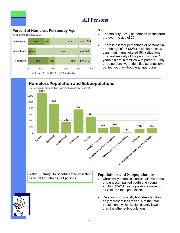

# **All Persons**

- **Age**
- The majority (88%) of persons unsheltered are over the age of 25.
- There is a larger percentage of persons under the age of 18 (32%) in sheltered situations than in unsheltered (6%) situations. The vast majority of the persons under 18 years old are in families with parents. Only three persons were identified as unaccompanied youth (without legal guardians).



**Note\*** - Family Households are represented as actual households, not persons

#### **Populations and Subpopulations**

- Chronically homeless individuals, veterans, and unaccompanied youth and young adults (UYAYA) subpopulations make up 37% of the total population.
- Persons in chronically homeless families only represent less than 1% of the total populations, which is significantly lower than the other subpopulations.

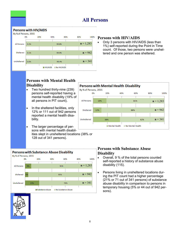# **All Persons**



#### **Persons with HIV/AIDS**

• Only 3 persons with HIV/AIDS (less than 1%) self-reported during the Point in Time count. Of those, two persons were unsheltered and one person was sheltered.

#### **Persons with Mental Health Disability**

- Two hundred thirty-nine (239) persons self-reported having a mental health disability (19% of all persons in PIT count).
- In the sheltered facilities, only 12% or 111 out of 942 persons reported a mental health disability.
- The larger percentage of persons with mental health disabilities slept in unsheltered locations (38% or 128 out of 341 persons).



#### **Persons with Mental Health Disability**

By % of Persons, 2015



#### **Persons with Substance Abuse Disability**

- Overall, 9 % of the total persons counted self-reported a history of substance abuse disability (115).
- Persons living in unsheltered locations during the PIT count had a higher percentage (21% or 71 out of 341 persons) of substance abuse disability in comparison to persons in temporary housing (5% or 44 out of 942 persons).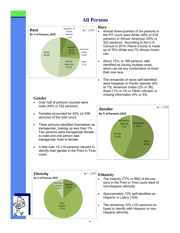

#### **Gender**

- Over half of persons counted were male (56% or 722 persons).
- Females accounted for 42% (or 538 persons) of the total count.
- Three persons identified themselves as transgender, making up less than 1%. Two persons were transgender female to male and one person was transgender male to female.
- A little over 1% (19 persons) refused to identify their gender in the Point in Time count.

#### **Race**

**All Persons**

- Almost three-quarters of the persons in the PIT count were White (48% or 616 persons) or African American (25% or 322 persons). According to the U.S. Census in 2014, Pierce County is made up of 76% White and 7% African American.
- About 13%, or 168 persons, selfidentified as having multiple races, which can be any combination of more than one race.
- The remainder of races self-identified were Hawaiian or Pacific Islander (6% or 73), American Indian (3% or 36), Asian (1% or 14) or Other, refused, or missing information (4% or 53).





#### **Ethnicity**

- The majority (77% or 992) of the persons in the Point in Time count were of non-Hispanic ethnicity.
- Approximately 13% self-identified as Hispanic or Latino (169).
- The remaining 10% (122 persons) refused to identify with Hispanic or non-Hispanic ethnicity.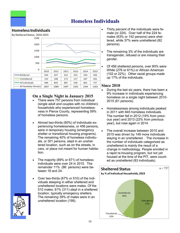# **Homeless Individuals**



#### **On a Single Night in January 2015**

- There were 757 persons from individual (single adult and couples with no children) households who experienced homelessness in Pierce County, representing 59% of homeless persons.
- Almost two-thirds (60%) of individuals experiencing homelessness, or 456 persons, were in temporary housing (emergency shelter or transitional housing programs). The remaining 40% of homeless individuals, or 301 persons, slept in an unsheltered location, such as on the streets, in cars, or place not meant for human habitation.
- The majority (89% or 671) of homeless individuals were over 24 in 2015. The remainder 11% (86 persons) were between 18 and 24.
- Over two-thirds (67% or 510) of the individuals sleeping in either sheltered and unsheltered locations were males. Of the 510 males, 61% (311) slept in a sheltered location, typically emergency shelters. The remaining 39% of males were in an unsheltered location (199).
- Thirty percent of the individuals were female (or 224). Over half of the 224 females (63% or 142 persons) were sheltered, while 37% were unsheltered (82 persons).
- The remaining 3% of the individuals are transgender, refused or are missing their gender.
- Of 456 sheltered persons, over 80% were White (276 or 61%) or African American (102 or 22%). Other racial groups made up 17% of the individuals.

- During the last six years, there has been a 9% increase in individuals experiencing homeless on a single night between 2010- 2015 (61 persons).
- Homelessness among individuals peaked in 2011 with 845 homeless individuals. The number fell in 2012 (19% from previous year) and 2013 (22% from previous year), but rose again in 2014.
- The overall increase between 2010 and 2015 was driven by 149 more individuals staying in an unsheltered . The increase in the number of individuals categorized as unsheltered is mainly the result of a change in methodology. People enrolled in a rapid re-housing program, but not yet housed at the time of the PIT, were counted as unsheltered (83 individuals).



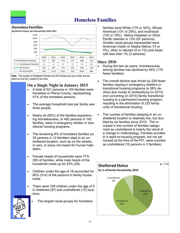# **Homeless Families**

#### **Homeless Families**



**Note** - The number of Sheltered Families and All Families are very similar and appears as one line, instead of two lines.

### **On a Single Night in January 2015**

- A total of 521 persons in 154 families were homeless in Pierce County, representing 41% of the homeless persons.
- The average household size per family was three people.
- Nearly all (92%) of the families experiencing homelessness, or 482 persons in 142 families, were in emergency shelter or transitional housing programs.
- The remaining 8% of homeless families (or 39 persons in 12 families) slept in an unsheltered location, such as on the streets, in cars, or place not meant for human habitation.
- Female heads of households were 77% (95) of families, while male heads of the household made up for 23% (29).
- Children under the age of 18 accounted for 60% (314) of the persons in family households.
- There were 109 children under the age of 5 in sheltered (97) and unsheltered (12) locations.



The largest racial groups for homeless

families were White (175 or 34%), African American (151 or 29%), and multiracial (103 or 19%). Native Hawaiian or Other Pacific Islander is 13% (67 persons). Smaller racial groups represented were American Indian or Alaska Native (14 or 3%), other or refused (9 or 1%) and Asian with less than 1% (2 persons).

- During the last six years, homelessness among families has declined by 54% (179 fewer families).
- The overall decline was driven by 228 fewer families staying in emergency shelters or transitional housing programs (a 38% decline) due mostly to reclassifying (in 2013) and converting (in 2014) family transitional housing to a permanent housing program, resulting in the elimination of 233 family units of transitional housing.
- The number of families sleeping in an unsheltered location is relatively low, but doubled by six families since 2010. The increase in the number of families categorized as unsheltered is mainly the result of a change in methodology. Families enrolled in a rapid re-housing program, but not yet housed at the time of the PIT, were counted as unsheltered (10 persons in 3 families).

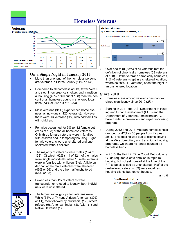# **Homeless Veterans**



#### **On a Single Night in January 2015**

- More than one tenth of the homeless persons are veterans in Pierce County (11% or 138).
- Compared to all homeless adults, fewer Veterans slept in emergency shelters and transitional housing (43% or 60 out of 138) than the percent of all homeless adults in sheltered locations (73% or 942 out of 1,283).
- Most veterans (91%) experienced homelessness as individuals (125 veterans). However, there were 13 veterans (9%) who had families with children.
- Females accounted for 9% (or 12 female veterans of 138) of the all homeless veterans. Only three female veterans were in families with children and in temporary housing. Eight female veterans were unsheltered and one sheltered without children.
- The majority of veterans were males (124 of 138). Of which, 92% (114 of 124) of the males were single individuals, while 10 male veterans were in families with children (8%). A little under half of the male veterans were sheltered (45% or 56) and the other half unsheltered (55% or 68).
- Fewer less than 1% of veterans were transgender or refused to identify; both individuals were unsheltered.
	- The largest racial groups for veterans were White (54% or 74) and African American (30% or 41), then followed by multiracial (12), other/ refused (6), American Indian (3), Asian (1) and Native Hawaiian (1).



 Over one-third (38%) of all veterans met the definition of chronically homeless (53 veterans of 138). Of the veterans chronically homeless, 11% (6 veterans) slept in a sheltered location, where as 89% (47 veterans) spent the night in an unsheltered location.

- Homelessness among veterans has not declined significantly since 2010 (2%).
- Starting in 2011, the U.S. Department of Housing and Urban Development (HUD) and the Department of Veterans Administration (VA) have funded a prevention and rapid re-housing program.
- During 2012 and 2013, Veteran homelessness dropped by 42% or 66 people from it's peak in 2011. This decline was due to clients staying at the VA's domiciliary and transitional housing programs, which are no longer counted as homeless beds.
- In 2015, the Point in Time Count Methodology Guide required clients enrolled in rapid rehousing but not yet housed at the time of the PIT to be classified as unsheltered. Half of the unsheltered veterans (39) were rapid rehousing clients but not yet housed.



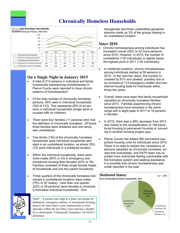# **Chronically Homeless Households**



#### **On a Single Night in January 2015**

- A total of 213 persons in individual and family households experiencing homelessness in Pierce County were reported to have chronic patterns of homelessness\*.
- Of the total number of chronically homeless persons, 95% were in individual households (202 of 213). This represents 26% of all persons in individual households (single adult or couples with no children).
- There were four families (11 persons) who met the definition of chronically homeless. Of those, three families were sheltered and one family was unsheltered.
- Two-thirds (130) of the chronically homeless households were individual households who slept in an unsheltered location, as where 35% (72) were individuals in a sheltered location.
- Within the individual households, there were more males (60% or 43) in emergency and transitional housing than females (40% or 29). Families consisted of three single female heads of households and one two parent household.
- Three quarters of the chronically homeless individuals in unsheltered locations were males (75% or 97 males). Less than one quarter (22% or 29 persons) were females in chronically homeless individual households. One



Note\* - A person who slept in a place not meant for habitation, emergency shelter, or transitional housing project for more than a year continuously or four episodes within the last three years and has a disability is determined "Chronically Homeless" by HUD's definition.

transgender and three unidentified gendered persons made up 3% of the groups staying in an unsheltered location.

- Chronic homelessness among individuals has increased overall (26% or 42 more persons) since 2010. However, in 2015, the number of unsheltered (130 individuals) is slightly below the highest point in 2011 (132 individuals).
- In sheltered locations, chronic homelessness among individuals started at 59 persons in 2010. In the next two years, the number increased by 81% and peaked, possibly due to an increase of 113 emergency shelter and transitional housing beds for individuals within those two years.
- Overall, there have been few family households classified as chronically homeless families since 2010. Families experiencing chronic homelessness have remained in the same range with a slight peak in 2011 to 18 persons in families.
- In 2015, there was a 28% decrease from 2012 due mainly to the reclassification of 156 transitional housing to permanent housing or converting to another housing project type.
- Pierce County has added 362 permanent supportive housing units for individuals since 2010. There is no data to explain the consistency of persons classified as chronically homeless, except that anecdotally, one PATH team has reported more individuals feeling comfortable with the homeless system and seeking assistance. It is possible that chronic homelessness was under-reported in the past.

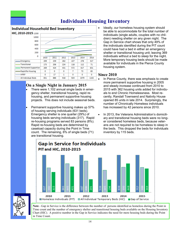

# **Individuals Housing Inventory**

#### **On a Single Night in January 2015**

- There were 1,102 annual single beds in emergency shelter, transitional housing, rapid rehousing, and permanent supportive housing projects. This does not include seasonal beds.
- Permanent supportive housing makes up 57% of housing serving individuals (631 beds). Emergency shelter is one quarter (29%) of housing beds serving individuals (317). Rapid re-housing programs served 83 persons (8%). Rapid re-housing beds are determined by caseload capacity during the Point in Time count. The remaining, 6% of single beds (71) are transitional housing.

 Ideally, our homeless housing system should be able to accommodate for the total number of individuals (single adults, couples with no children) needing shelter on any given night. The Gap in Service chart shows that only 49% of the individuals identified during the PIT count could have had a bed in either an emergency shelter or transitional housing unit; leaving 369 individuals without a bed to sleep for the night. More temporary housing beds should be made available for individuals in the Pierce County housing system.

#### **Since 2010**

- In Pierce County, there was emphasis to create more permanent supportive housing in 2005 and steady increase continued from 2010 to 2015 with 362 housing units added for individuals to end Chronic Homelessness. Most recently, Randall Townsend and Nativity House opened 85 units in late 2014. Surprisingly, the number of Chronically Homeless individuals has increased by 42 persons since 2010.
- In 2013, the Veterans Administration's domiciliary and transitional housing beds were no longer considered homeless beds, because veterans are not required to be homeless to sleep in the beds. This dropped the beds for individuals inventory by 115 beds.





**Note** - Gap in Service is the difference between the number of persons identified as homeless during the Point in Time count and the number of emergency shelter and transitional housing beds available on the Housing Inventory Chart (HIC). A positive number in the Gap in Service indicates the need for more housing beds during the Point in Time Count.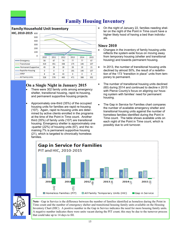# **Family Housing Inventory**

#### **Family Household Unit Inventory**



#### **On a Single Night in January 2015**

- There were 302 family units among emergency shelter, transitional housing, rapid re-housing, and permanent supportive housing projects.
- Approximately one-third (35%) of the occupied housing units for families are rapid re-housing (107). Again, rapid re-housing units are determined by active clients enrolled in the programs at the time of the Point in Time count. Another third (35%) of family units (107) are transitional housing. Emergency shelter is approximately one -quarter (22%) of housing units (67), and the remaining 7% is permanent supportive housing (21), which is targeted to chronically homeless families.

 On the night of January 22, families needing shelter on the night of the Point in Time count have a higher likely hood of having a bed than individuals.

#### **Since 2010**

- Changes in the inventory of family housing units reflects the system-wide focus on moving away from temporary housing (shelter and transitional housing) and towards permanent housing.
- In 2013, the number of transitional housing units declined by almost 50%, the result of a redefinition of the 173 "transition in place" units from temporary to permanent.
- The number of transitional housing units declined (60) during 2014 and continued to decline n 2015 with Pierce County's focus on aligning our housing system with families' need for permanent housing.
- The Gap in Service for Families chart compares the number of available emergency shelter and transitional housing units against the number of homeless families identified during the Point in Time count. The table shows available units on each night of the Point in Time count, which is possibly due to unit turnover.





**Note** - Gap in Service is the difference between the number of families identified as homeless during the Point in Time count and the number of emergency shelter and transitional housing family units available on the Housing Inventory Chart (HIC). A positive number in the Gap in Service indicates the need for more housing family units. A negative number indicates there were units vacant during the PIT count; this may be due to the turnover process that could take up to 14 days to fill.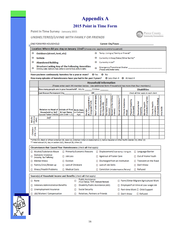# **Appendix A**

#### **2015 Point in Time Form**

Point In Time Survey - January 2015

**UNSHELTERED/LIVING WITH FAMILY OR FRIENDS** 



|                                                                                          |   | <b>Example FORM PER HOUSEHOLD</b>                                                                                                     |         | Current City/Town:                                            |  |  |
|------------------------------------------------------------------------------------------|---|---------------------------------------------------------------------------------------------------------------------------------------|---------|---------------------------------------------------------------|--|--|
| Location: Where did you stay on January 22nd? (choose one - applies to entire household) |   |                                                                                                                                       |         |                                                               |  |  |
|                                                                                          | o | Outdoors (street, tent, etc)                                                                                                          | $\circ$ | Temp. Living w/Family or Friends*                             |  |  |
|                                                                                          | o | Vehicle                                                                                                                               | o       | Currently in Hosp/Detox/Other facility*                       |  |  |
|                                                                                          | o | <b>Abandoned Building</b>                                                                                                             | o       | Currently in Jail*                                            |  |  |
|                                                                                          | o | <b>Structure Lacking Any of the Following Amenities</b><br>Drinking water, restroom, heat, ability to cook hot food, ability to bathe | o       | Emergency/Transitional Shelter<br>(Please write shelter name) |  |  |
| Have you been continuously homeless for a year or more? O Yes<br>O No                    |   |                                                                                                                                       |         |                                                               |  |  |

How many episodes of homelessness have you had in the past 3 years? Q Less than 4 Q At least 4

|                           | <b>Household Information</b><br>(Please enter each HH member below. Use additional form if household has more than four members.)                       |  |      |                                                           |                             |                                                  |                                     |                                     |                              |                            |                                    |                             |                                            |                                                        |          |
|---------------------------|---------------------------------------------------------------------------------------------------------------------------------------------------------|--|------|-----------------------------------------------------------|-----------------------------|--------------------------------------------------|-------------------------------------|-------------------------------------|------------------------------|----------------------------|------------------------------------|-----------------------------|--------------------------------------------|--------------------------------------------------------|----------|
|                           | How many people are in your household? Adults: Children:                                                                                                |  |      |                                                           |                             |                                                  |                                     | <b>Disabilities</b>                 |                              |                            |                                    |                             |                                            |                                                        |          |
|                           | Last Known Permanent City<br>ZIP                                                                                                                        |  |      |                                                           |                             |                                                  | Check all that apply to each client |                                     |                              |                            |                                    |                             |                                            |                                                        |          |
|                           | Relation to Head of Initials of First Birth Date<br>Household or Self   & Last Name   (or if refused;<br>(Spouse/Partner/Child/Etc.)(John Smith = J.S.) |  | Age) | Gender<br>(M, F, TransgenderM to F,<br>TransgenderF to M) | Race* (enter all that apply | Et hnicity (Hispani: (H) or<br>Non-Hispanic (N)) | Domestic Violence<br>Survivor       | Served in the military<br>(veteran) | ٠<br>٠<br>Sexual Orientation | Chronic Substance<br>Abuse | Physical Disability<br>(Permanent) | Developmental<br>Disability | (Substartial & Long-Term)<br>Mental Health | (Permanantly Disabling)<br>Chronic Health<br>Condition | HIV/AIDS |
| Adults                    | Self                                                                                                                                                    |  |      |                                                           |                             |                                                  |                                     |                                     |                              |                            |                                    |                             |                                            |                                                        |          |
| (18 yrs or<br>older)      |                                                                                                                                                         |  |      |                                                           |                             |                                                  |                                     |                                     |                              |                            |                                    |                             |                                            |                                                        |          |
|                           |                                                                                                                                                         |  |      |                                                           |                             |                                                  |                                     |                                     |                              |                            |                                    |                             |                                            |                                                        |          |
|                           |                                                                                                                                                         |  |      |                                                           |                             |                                                  |                                     |                                     |                              |                            |                                    |                             |                                            |                                                        |          |
| Children<br>(0 to 17 yrs) |                                                                                                                                                         |  |      |                                                           |                             |                                                  |                                     |                                     |                              |                            |                                    |                             |                                            |                                                        |          |
|                           |                                                                                                                                                         |  |      |                                                           |                             |                                                  |                                     |                                     |                              |                            |                                    |                             |                                            |                                                        |          |

| Circumstances that Caused Your Homelessness (check all that apply) |                                                                  |                                            |                                             |  |  |  |
|--------------------------------------------------------------------|------------------------------------------------------------------|--------------------------------------------|---------------------------------------------|--|--|--|
| □ Alcohol/Substance Abuse                                          | $\Box$ Primarily Economic Reasons                                | $\Box$ Displacement/lost temp. living sit. | $\Box$ Language Barrier                     |  |  |  |
| <b>Domestic Violence</b><br>□<br>(including SexTrafficking)        | $\Box$ Job Loss                                                  | □ Aged out of Foster Care                  | □ Out of Home Youth                         |  |  |  |
| $\Box$ Mental Illness                                              | $\Box$ Eviction                                                  | $\Box$ Discharged from an Institution      | $\Box$ Transient on the Road                |  |  |  |
| Family Crisis/Break-up                                             | $\Box$ Lack of Childcare                                         | □ Lack of Job Skills                       | $\Box$ Don't Know                           |  |  |  |
| $\Box$ Illness/Health Problems                                     | □ Medical Costs                                                  | □ Conviction (misdemeanor/felony)          | $\Box$ Refused                              |  |  |  |
|                                                                    |                                                                  |                                            |                                             |  |  |  |
| Source(s) of Household Income and Benefits (check all that apply)  |                                                                  |                                            |                                             |  |  |  |
| $\Box$ None                                                        | <b>Public Assistance</b><br>(Food Stamps TANE Medicare/Medicaid) |                                            | $\Box$ Farm/Other Migrant Agricultural Work |  |  |  |

| $\Box$ $\Box$                           | (Food Stamps, TANF, Medicare/Medicaid) | $\Box$ remmy output impressional equation of $\alpha$ |
|-----------------------------------------|----------------------------------------|-------------------------------------------------------|
| $\Box$ Veterans Administration Benefits | Disability Public Assistance (ABD)     | $\Box$ Employed Full-time at Low-wage Job             |
| $\Box$ Unemployment Insurance           | $\Box$ Social Security                 | $\Box$ Part-time Work $\Box$ Child Support            |
| L □ L&I/Workers' Compensation           | $\Box$ Relatives, Partners or Friends  | $\Box$ Don't Know<br>$\Box$ Refused                   |